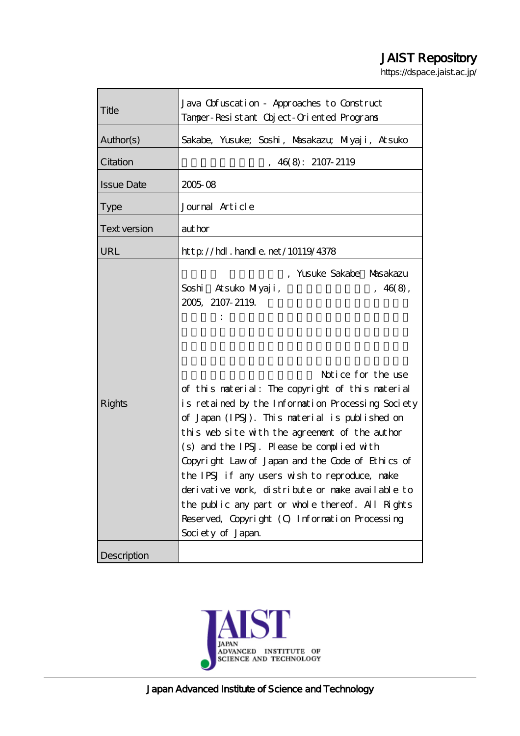# JAIST Repository

https://dspace.jaist.ac.jp/

| Title               | Java Obfuscation - Approaches to Construct<br>Tamper-Resistant Object-Oriented Programs                                                                                                                                                                                                                                                                                                                                                                                                                                                                                         |
|---------------------|---------------------------------------------------------------------------------------------------------------------------------------------------------------------------------------------------------------------------------------------------------------------------------------------------------------------------------------------------------------------------------------------------------------------------------------------------------------------------------------------------------------------------------------------------------------------------------|
| Author(s)           | Sakabe, Yusuke; Soshi, Masakazu; Miyaji, Atsuko                                                                                                                                                                                                                                                                                                                                                                                                                                                                                                                                 |
| Citation            | 46(8): 2107-2119                                                                                                                                                                                                                                                                                                                                                                                                                                                                                                                                                                |
| <b>Issue Date</b>   | 200508                                                                                                                                                                                                                                                                                                                                                                                                                                                                                                                                                                          |
| <b>Type</b>         | Journal Article                                                                                                                                                                                                                                                                                                                                                                                                                                                                                                                                                                 |
| <b>Text version</b> | author                                                                                                                                                                                                                                                                                                                                                                                                                                                                                                                                                                          |
| URL                 | $http$ // $hdl$ . handle. net/10119/4378                                                                                                                                                                                                                                                                                                                                                                                                                                                                                                                                        |
| <b>Rights</b>       | , Yusuke Sakabe Masakazu<br>Soshi<br>Atsuko Milyaji,<br>, 46(8),<br>2005 2107-2119<br>Notice for the use<br>of this naterial: The copyright of this naterial<br>is retained by the Information Processing Society<br>of Japan (IPSJ). This material is published on<br>this web site with the agreement of the author<br>(s) and the IPSJ. Please be complied with<br>Copyright Law of Japan and the Code of Ethics of<br>the IPSJ if any users wish to reproduce, nake<br>derivative work, distribute or nake available to<br>the public any part or whole thereof. All Rights |
|                     | Reserved, Copyright (O Information Processing<br>Society of Japan.                                                                                                                                                                                                                                                                                                                                                                                                                                                                                                              |
| Description         |                                                                                                                                                                                                                                                                                                                                                                                                                                                                                                                                                                                 |

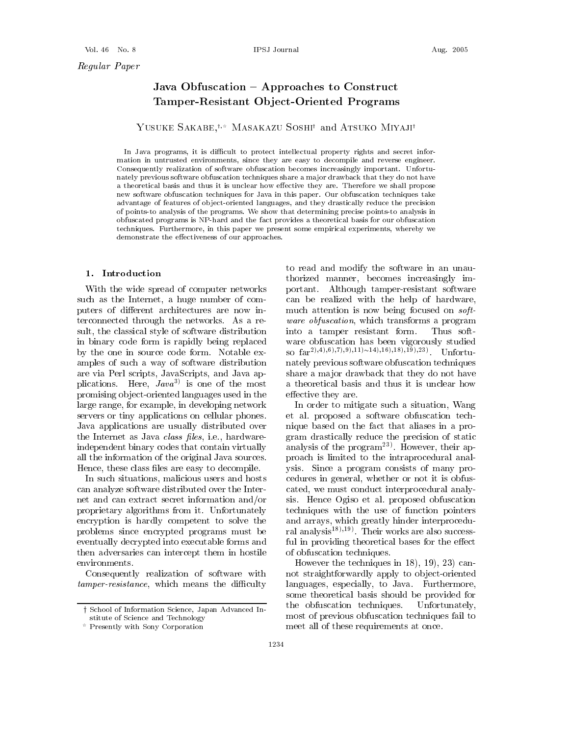## Java Obfuscation - Approaches to Construct Tamper-Resistant Object-Oriented Programs

#### YUSUKE SAKABE.<sup>†</sup> MASAKAZU SOSHI<sup>†</sup> and ATSUKO MIYAJI<sup>†</sup>

In Java programs, it is difficult to protect intellectual property rights and secret information in untrusted environments, since they are easy to decompile and reverse engineer. Consequently realization of software obfuscation becomes increasingly important. Unfortunately previous software obfuscation techniques share a major drawback that they do not have a theoretical basis and thus it is unclear how effective they are. Therefore we shall propose new software obfuscation techniques for Java in this paper. Our obfuscation techniques take advantage of features of object-oriented languages, and they drastically reduce the precision of points-to analysis of the programs. We show that determining precise points-to analysis in obfuscated programs is NP-hard and the fact provides a theoretical basis for our obfuscation techniques. Furthermore, in this paper we present some empirical experiments, whereby we demonstrate the effectiveness of our approaches.

#### 1. Introduction

With the wide spread of computer networks such as the Internet, a huge number of computers of different architectures are now interconnected through the networks. As a result, the classical style of software distribution in binary code form is rapidly being replaced by the one in source code form. Notable examples of such a way of software distribution are via Perl scripts, JavaScripts, and Java applications. Here,  $Jawa^{3}$  is one of the most promising object-oriented languages used in the large range, for example, in developing network servers or tiny applications on cellular phones. Java applications are usually distributed over the Internet as Java *class files*, i.e., hardwareindependent binary codes that contain virtually all the information of the original Java sources. Hence, these class files are easy to decompile.

In such situations, malicious users and hosts can analyze software distributed over the Internet and can extract secret information and/or proprietary algorithms from it. Unfortunately encryption is hardly competent to solve the problems since encrypted programs must be eventually decrypted into executable forms and then adversaries can intercept them in hostile environments.

Consequently realization of software with *tamper-resistance*, which means the difficulty

to read and modify the software in an unauthorized manner, becomes increasingly important. Although tamper-resistant software can be realized with the help of hardware, much attention is now being focused on *software obfuscation*, which transforms a program into a tamper resistant form. Thus software obfuscation has been vigorously studied so  $far^{2(0,4)}(0,7)(0,0,11) \sim 14(0,16)(0,18)(0,19)(0,23)$  Unfortunately previous software obfuscation techniques share a major drawback that they do not have a theoretical basis and thus it is unclear how effective they are.

In order to mitigate such a situation, Wang et al. proposed a software obfuscation technique based on the fact that aliases in a program drastically reduce the precision of static analysis of the  $program^{23}$ . However, their approach is limited to the intraprocedural analysis. Since a program consists of many procedures in general, whether or not it is obfuscated, we must conduct interprocedural analysis. Hence Ogiso et al. proposed obfuscation techniques with the use of function pointers and arrays, which greatly hinder interprocedural analysis<sup>18),19</sup>. Their works are also successful in providing theoretical bases for the effect of obfuscation techniques.

However the techniques in 18), 19), 23) cannot straightforwardly apply to object-oriented languages, especially, to Java. Furthermore, some theoretical basis should be provided for the obfuscation techniques. Unfortunately, most of previous obfuscation techniques fail to meet all of these requirements at once.

<sup>†</sup> School of Information Science, Japan Advanced Institute of Science and Technology

Presently with Sony Corporation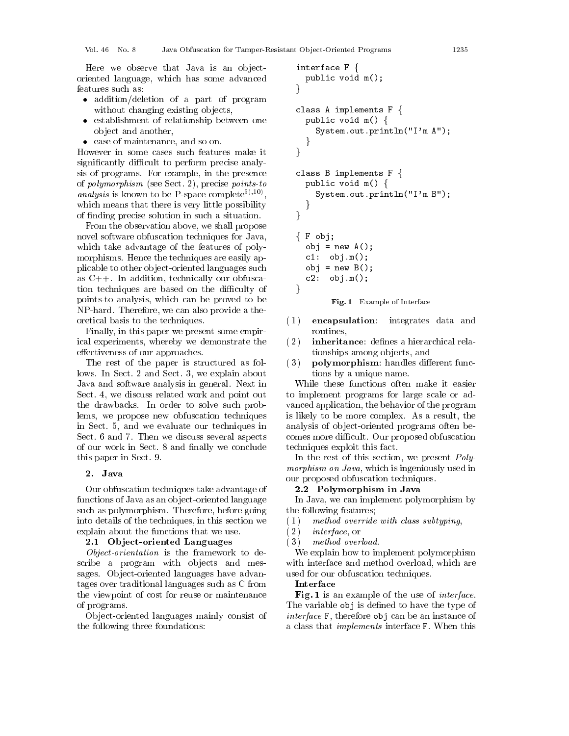Here we observe that Java is an objectoriented language, which has some advanced features such as:

- addition/deletion of a part of program without changing existing objects,
- establishment of relationship between one object and another,
- ease of maintenance, and so on.

However in some cases such features make it significantly difficult to perform precise analysis of programs. For example, in the presence of *polymorphism* (see Sect. 2), precise *points-to analysis* is known to be P-space complete<sup>5),10</sup>, which means that there is very little possibility of finding precise solution in such a situation.

From the observation above, we shall propose novel software obfuscation techniques for Java, which take advantage of the features of polymorphisms. Hence the techniques are easily applicable to other object-oriented languages such as  $C_{++}$ . In addition, technically our obfuscation techniques are based on the difficulty of points-to analysis, which can be proved to be NP-hard. Therefore, we can also provide a theoretical basis to the techniques.

Finally, in this paper we present some empirical experiments, whereby we demonstrate the effectiveness of our approaches.

The rest of the paper is structured as follows. In Sect. 2 and Sect. 3, we explain about Java and software analysis in general. Next in Sect. 4, we discuss related work and point out the drawbacks. In order to solve such problems, we propose new obfuscation techniques in Sect. 5, and we evaluate our techniques in Sect. 6 and 7. Then we discuss several aspects of our work in Sect. 8 and finally we conclude this paper in Sect. 9.

#### 2. Java

Our obfuscation techniques take advantage of functions of Java as an object-oriented language such as polymorphism. Therefore, before going into details of the techniques, in this section we explain about the functions that we use.

#### 2.1 Object-oriented Languages

Object-orientation is the framework to describe a program with objects and messages. Object-oriented languages have advantages over traditional languages such as C from the viewpoint of cost for reuse or maintenance of programs.

Object-oriented languages mainly consist of the following three foundations:

```
interface F \{public void m();
ļ
class A implements F \{public void m() \{System.out.println("I'm A");
\mathcal{E}class B implements F \{public void m() \{System.out.println("I'm B");
  \left\{ \right\}\}\{F \circ bj\}obj = new A();
  cl: obj.m();
  obj = new B();
  c2: obj.m();
ļ
```
Fig. 1 Example of Interface

- $(1)$ encapsulation: integrates data and routines.
- $(2)$ inheritance: defines a hierarchical relationships among objects, and
- $(3)$ polymorphism: handles different functions by a unique name.

While these functions often make it easier to implement programs for large scale or advanced application, the behavior of the program is likely to be more complex. As a result, the analysis of object-oriented programs often becomes more difficult. Our proposed obfuscation techniques exploit this fact.

In the rest of this section, we present *Polymorphism on Java*, which is ingeniously used in our proposed obfuscation techniques.

#### 2.2 Polymorphism in Java

In Java, we can implement polymorphism by the following features;

- method override with class subtyping,  $(1)$
- $(2)$ *interface*, or
- $(3)$ method overload.

We explain how to implement polymorphism with interface and method overload, which are used for our obfuscation techniques.

#### Interface

Fig. 1 is an example of the use of *interface*. The variable obj is defined to have the type of *interface* F, therefore obj can be an instance of a class that *implements* interface F. When this

1235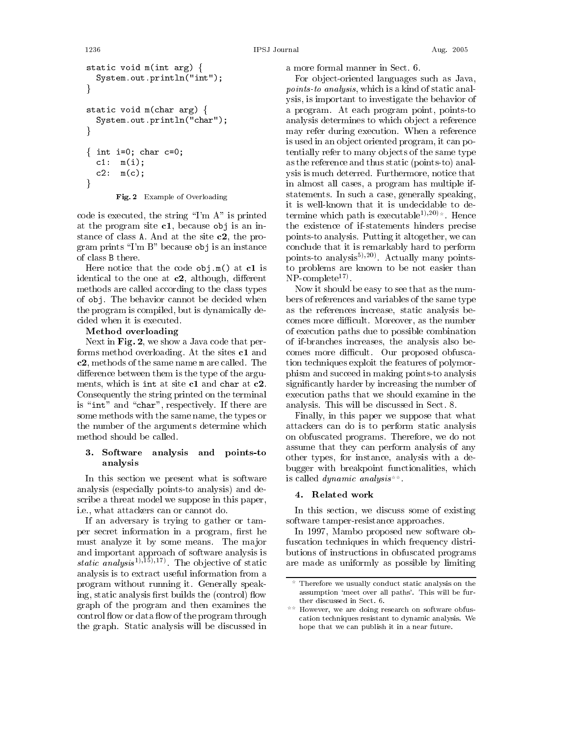```
IPSJ Journal
```

```
static void m(int arg) {
  System.out.println("int");
J
static void m(char arg) {
  System.out.println("char");
ļ
{ int i=0; char c=0;
  c1: m(i);c2: m(c);J
```
#### Fig. 2 Example of Overloading

code is executed, the string " $\Gamma$ m A" is printed at the program site  $c1$ , because obj is an instance of class  $A$ . And at the site  $c2$ , the program prints "I'm  $B$ " because obj is an instance of class B there.

Here notice that the code  $obj.m()$  at  $c1$  is identical to the one at  $c2$ , although, different methods are called according to the class types of obj. The behavior cannot be decided when the program is compiled, but is dynamically decided when it is executed.

#### Method overloading

Next in Fig. 2, we show a Java code that performs method overloading. At the sites c1 and c2, methods of the same name m are called. The difference between them is the type of the arguments, which is int at site c1 and char at c2. Consequently the string printed on the terminal is "int" and "char", respectively. If there are some methods with the same name, the types or the number of the arguments determine which method should be called.

#### 3. Software analysis and points-to analysis

In this section we present what is software analysis (especially points-to analysis) and describe a threat model we suppose in this paper, i.e., what attackers can or cannot do.

If an adversary is trying to gather or tamper secret information in a program, first he must analyze it by some means. The major and important approach of software analysis is *static analysis*<sup>1</sup>,<sup>15</sup>,<sup>17</sup>. The objective of static analysis is to extract useful information from a program without running it. Generally speaking, static analysis first builds the (control) flow graph of the program and then examines the control flow or data flow of the program through the graph. Static analysis will be discussed in

a more formal manner in Sect. 6.

For object-oriented languages such as Java, points-to analysis, which is a kind of static analysis, is important to investigate the behavior of a program. At each program point, points-to analysis determines to which object a reference may refer during execution. When a reference is used in an object oriented program, it can potentially refer to many objects of the same type as the reference and thus static (points-to) analysis is much deterred. Furthermore, notice that in almost all cases, a program has multiple ifstatements. In such a case, generally speaking, it is well-known that it is undecidable to determine which path is executable<sup>1),20</sup>). Hence the existence of if-statements hinders precise points-to analysis. Putting it altogether, we can conclude that it is remarkably hard to perform points-to analysis<sup>5</sup>,<sup>20</sup>. Actually many pointsto problems are known to be not easier than NP-complete $^{17}$ .

Now it should be easy to see that as the numbers of references and variables of the same type as the references increase, static analysis be comes more difficult. Moreover, as the number of execution paths due to possible combination of if-branches increases, the analysis also becomes more difficult. Our proposed obfuscation techniques exploit the features of polymorphism and succeed in making points-to analysis significantly harder by increasing the number of execution paths that we should examine in the analysis. This will be discussed in Sect. 8.

Finally, in this paper we suppose that what attackers can do is to perform static analysis on obfuscated programs. Therefore, we do not assume that they can perform analysis of any other types, for instance, analysis with a debugger with breakpoint functionalities, which is called *dynamic* analysis

#### 4. Related work

In this section, we discuss some of existing software tamper-resistance approaches.

In 1997, Mambo proposed new software obfuscation techniques in which frequency distributions of instructions in obfuscated programs are made as uniformly as possible by limiting

1236

Therefore we usually conduct static analysis on the assumption 'meet over all paths'. This will be further discussed in Sect. 6.

However, we are doing research on software obfuscation techniques resistant to dynamic analysis. We hope that we can publish it in a near future.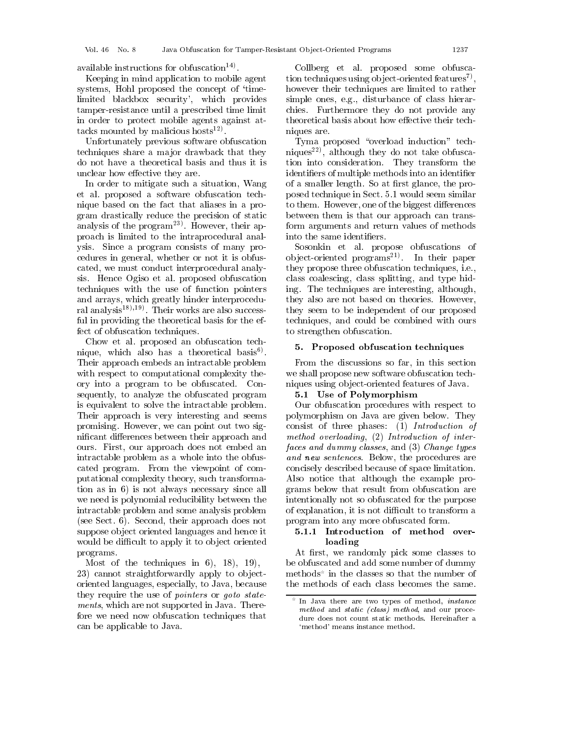available instructions for obfuscation<sup>14)</sup>.

Keeping in mind application to mobile agent systems, Hohl proposed the concept of 'timelimited blackbox security', which provides tamper-resistance until a prescribed time limit in order to protect mobile agents against attacks mounted by malicious hosts<sup>12)</sup>.

Unfortunately previous software obfuscation techniques share a major drawback that they do not have a theoretical basis and thus it is unclear how effective they are.

In order to mitigate such a situation, Wang et al. proposed a software obfuscation technique based on the fact that aliases in a program drastically reduce the precision of static analysis of the  $program^{23}$ . However, their approach is limited to the intraprocedural analysis. Since a program consists of many procedures in general, whether or not it is obfuscated, we must conduct interprocedural analysis. Hence Ogiso et al. proposed obfuscation techniques with the use of function pointers and arrays, which greatly hinder interprocedural analysis<sup>18</sup>),<sup>19</sup>. Their works are also successful in providing the theoretical basis for the effect of obfuscation techniques.

Chow et al. proposed an obfuscation technique, which also has a theoretical basis<sup>6</sup>. Their approach embeds an intractable problem with respect to computational complexity theory into a program to be obfuscated. Consequently, to analyze the obfuscated program is equivalent to solve the intractable problem. Their approach is very interesting and seems promising. However, we can point out two significant differences between their approach and ours. First, our approach does not embed an intractable problem as a whole into the obfuscated program. From the viewpoint of computational complexity theory, such transformation as in 6) is not always necessary since all we need is polynomial reducibility between the intractable problem and some analysis problem (see Sect. 6). Second, their approach does not suppose object oriented languages and hence it would be difficult to apply it to object oriented programs.

Most of the techniques in  $6$ ,  $18$ ,  $19$ , 23) cannot straightforwardly apply to objectoriented languages, especially, to Java, because they require the use of *pointers* or *goto statements*, which are not supported in Java. Therefore we need now obfuscation techniques that can be applicable to Java.

Collberg et al. proposed some obfuscation techniques using object-oriented features<sup>7</sup>, however their techniques are limited to rather simple ones, e.g., disturbance of class hierarchies. Furthermore they do not provide any theoretical basis about how effective their techniques are.

Tyma proposed "overload induction" techniques<sup>22)</sup>, although they do not take obfuscation into consideration. They transform the identifiers of multiple methods into an identifier of a smaller length. So at first glance, the proposed technique in Sect. 5.1 would seem similar to them. However, one of the biggest differences between them is that our approach can transform arguments and return values of methods into the same identifiers.

Sosonkin et al. propose obfuscations of object-oriented programs<sup>21)</sup>. In their paper they propose three obfuscation techniques, *i.e.*, class coalescing, class splitting, and type hiding. The techniques are interesting, although, they also are not based on theories. However, they seem to be independent of our proposed techniques, and could be combined with ours to strengthen obfuscation.

#### 5. Proposed obfuscation techniques

From the discussions so far, in this section we shall propose new software obfuscation techniques using object-oriented features of Java.

#### 5.1 Use of Polymorphism

Our obfuscation procedures with respect to polymorphism on Java are given below. They consist of three phases: (1) Introduction of method overloading, (2) Introduction of interfaces and dummy classes, and (3) Change types and new sentences. Below, the procedures are concisely described because of space limitation. Also notice that although the example programs below that result from obfuscation are intentionally not so obfuscated for the purpose of explanation, it is not difficult to transform a program into any more obfuscated form.

#### 5.1.1 Introduction of method overloading

At first, we randomly pick some classes to be obfuscated and add some number of dummy methods in the classes so that the number of the methods of each class becomes the same.

In Java there are two types of method, *instance* method and static (class) method, and our procedure does not count static methods. Hereinafter a 'method' means instance method.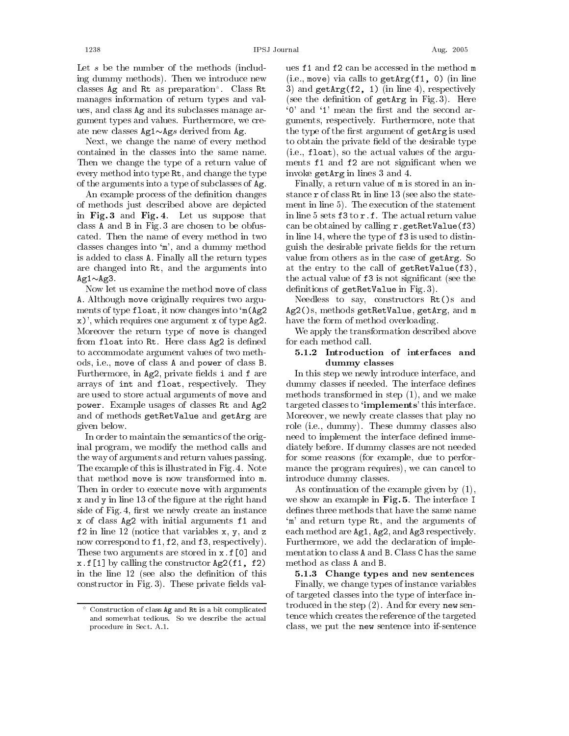Let  $s$  be the number of the methods (including dummy methods). Then we introduce new classes Ag and Rt as preparation. Class Rt manages information of return types and values, and class Ag and its subclasses manage argument types and values. Furthermore, we create new classes  $Ag1 \sim Ags$  derived from Ag.

Next, we change the name of every method contained in the classes into the same name. Then we change the type of a return value of every method into type Rt, and change the type of the arguments into a type of subclasses of Ag.

An example process of the definition changes of methods just described above are depicted in Fig. 3 and Fig. 4. Let us suppose that class A and B in Fig. 3 are chosen to be obfuscated. Then the name of every method in two classes changes into 'm', and a dummy method is added to class A. Finally all the return types are changed into Rt, and the arguments into  $Ag1 \sim Ag3$ .

Now let us examine the method move of class A. Although move originally requires two arguments of type float, it now changes into 'm(Ag2  $(x)$ , which requires one argument x of type  $Ag2$ . Moreover the return type of move is changed from float into Rt. Here class Ag2 is defined to accommodate argument values of two methods, i.e., move of class A and power of class B. Furthermore, in Ag2, private fields i and f are arrays of int and float, respectively. They are used to store actual arguments of move and power. Example usages of classes Rt and Ag2 and of methods getRetValue and getArg are given below.

In order to maintain the semantics of the original program, we modify the method calls and the way of arguments and return values passing. The example of this is illustrated in Fig. 4. Note that method move is now transformed into m. Then in order to execute move with arguments x and y in line 13 of the figure at the right hand side of Fig. 4, first we newly create an instance x of class Ag2 with initial arguments f1 and  $f2$  in line 12 (notice that variables x, y, and z now correspond to f1, f2, and f3, respectively). These two arguments are stored in x.f[0] and  $x.f[1]$  by calling the constructor  $Ag2(f1, f2)$ in the line 12 (see also the definition of this constructor in Fig. 3). These private fields val-

ues f1 and f2 can be accessed in the method m (i.e., move) via calls to  $getArg(f1, 0)$  (in line 3) and  $getArg(f2, 1)$  (in line 4), respectively (see the definition of getArg in Fig. 3). Here '0' and '1' mean the first and the second arguments, respectively. Furthermore, note that the type of the first argument of getArg is used to obtain the private field of the desirable type (i.e., float), so the actual values of the arguments f1 and f2 are not significant when we invoke getArg in lines 3 and 4.

Finally, a return value of m is stored in an instance r of class Rt in line 13 (see also the statement in line 5). The execution of the statement in line 5 sets f3 to r.f. The actual return value can be obtained by calling r.getRetValue(f3) in line 14, where the type of f3 is used to distinguish the desirable private fields for the return value from others as in the case of getArg. So at the entry to the call of getRetValue(f3), the actual value of f3 is not significant (see the definitions of getRetValue in Fig. 3).

Needless to say, constructors Rt()s and Ag2()s, methods getRetValue, getArg, and m have the form of method overloading.

We apply the transformation described above for each method call.

#### 5.1.2 Introduction of interfaces and dummy classes

In this step we newly introduce interface, and dummy classes if needed. The interface defines methods transformed in step  $(1)$ , and we make targeted classes to '**implements**' this interface. Moreover, we newly create classes that play no role (i.e., dummy). These dummy classes also need to implement the interface defined immediately before. If dummy classes are not needed for some reasons (for example, due to performance the program requires), we can cancel to introduce dummy classes.

As continuation of the example given by  $(1)$ , we show an example in Fig. 5. The interface I defines three methods that have the same name 'm' and return type Rt, and the arguments of each method are Ag1, Ag2, and Ag3 respectively. Furthermore, we add the declaration of implementation to class A and B. Class C has the same method as class A and B.

5.1.3 Change types and new sentences Finally, we change types of instance variables of targeted classes into the type of interface introduced in the step  $(2)$ . And for every new sentence which creates the reference of the targeted class, we put the new sentence into if-sentence

Construction of class Ag and Rt is a bit complicated and somewhat tedious. So we describe the actual procedure in Sect. A.1.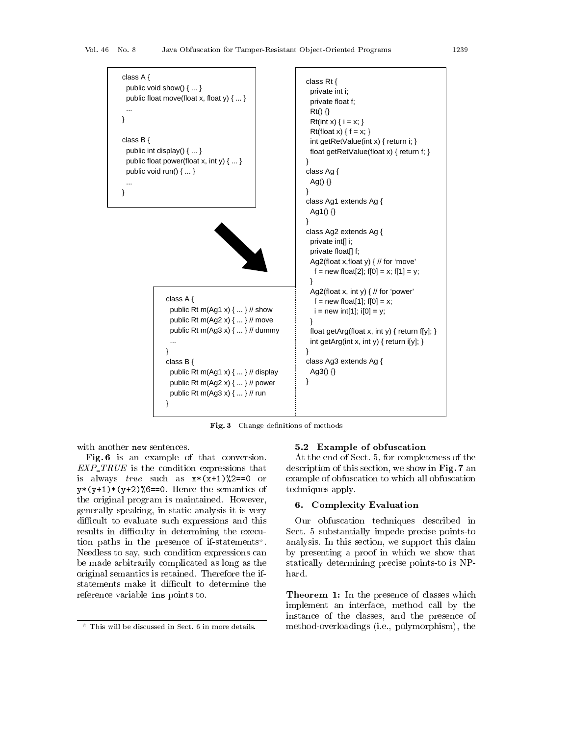

 $\mathbf{Fig. 3}$  Change definitions of methods

 \*  - - . The contract of the contract of the contract of the contract of the contract of the contract of the contract of the contract of the contract of the contract of the contract of the contract of the contract of the contract (/(0 1"% /0 /0"12% "
 - - $\mathbf{A}$  , and  $\mathbf{A}$  , and  $\mathbf{A}$  , and  $\mathbf{A}$  , and  $\mathbf{A}$  , and  $\mathbf{A}$  , and  $\mathbf{A}$  , and  $\mathbf{A}$  $\overline{\mathbf{A}}$  , and  $\overline{\mathbf{A}}$  , and  $\overline{\mathbf{A}}$  , and  $\overline{\mathbf{A}}$  , and  $\overline{\mathbf{A}}$  , and  $\overline{\mathbf{A}}$  , and  $\overline{\mathbf{A}}$  , and  $\overline{\mathbf{A}}$  , and  $\overline{\mathbf{A}}$  , and  $\overline{\mathbf{A}}$  , and  $\overline{\mathbf{A}}$  , and  $\overline{\mathbf{A}}$  , and  $\overline{\$ Æ
- - - - - Æ
- - and the contract of the contract of the contract of the contract of the contract of the contract of the contract of the contract of the contract of the contract of the contract of the contract of the contract of the contra - 

-  $\blacksquare$  . The contract of the contract of the contract of the contract of the contract of the contract of the contract of the contract of the contract of the contract of the contract of the contract of the contract of the - - \*  -  
 - -

#### $\frac{1}{2}$   $\frac{1}{2}$   $\frac{1}{2}$   $\frac{1}{2}$   $\frac{1}{2}$   $\frac{1}{2}$   $\frac{1}{2}$   $\frac{1}{2}$   $\frac{1}{2}$   $\frac{1}{2}$   $\frac{1}{2}$   $\frac{1}{2}$   $\frac{1}{2}$   $\frac{1}{2}$   $\frac{1}{2}$   $\frac{1}{2}$   $\frac{1}{2}$   $\frac{1}{2}$   $\frac{1}{2}$   $\frac{1}{2}$   $\frac{1}{2}$   $\frac{1}{2}$

 -  - 
- -  -) - 그 사람들은 아이들은 아이들의 사람들은 아이들의 사람들은 아이들의 사람들은 아이들의 사람들은 아이들의 사람들을 만들어 있다. 그 사람들은 아이들의 사람들은 아이들의 사람들의 사람들의 사람들이 아   - - 
  -

#### $\bullet$ ,  $\bullet$   $\bullet$  ...,  $\bullet$ ,  $\bullet$ ,  $\bullet$ ,  $\bullet$ ,  $\bullet$ ,  $\bullet$ ,  $\bullet$ ,  $\bullet$ ,  $\bullet$ ,  $\bullet$ ,  $\bullet$ ,  $\bullet$ ,  $\bullet$ ,  $\bullet$ ,  $\bullet$ ,  $\bullet$ ,  $\bullet$ ,  $\bullet$ ,  $\bullet$ ,  $\bullet$ ,  $\bullet$ ,  $\bullet$ ,  $\bullet$ ,  $\bullet$ ,  $\bullet$ ,  $\bullet$ ,  $\bullet$ ,  $\bullet$ ,  $\bullet$ ,  $\bullet$ ,  $\bullet$ ,  $\bullet$ ,  $\bullet$ ,  $\$

 $\mathbf{u} = \mathbf{u} + \mathbf{v}$  , and a set of  $\mathbf{u} = \mathbf{u} + \mathbf{v}$  , and the set of  $\mathbf{u} = \mathbf{u} + \mathbf{v}$  , and the set of  $\mathbf{u} = \mathbf{u} + \mathbf{v}$  , and the set of  $\mathbf{u} = \mathbf{u} + \mathbf{v}$  , we set of  $\mathbf{u} = \mathbf{u} + \mathbf{v}$  , we - - - - --  $\sim$   $\sim$  -  $\sim$  -  $\sim$  -  $\sim$  -  $\sim$  -  $\sim$  -  $\sim$  -  $\sim$  -  $\sim$  -  $\sim$  -  $\sim$  -  $\sim$  -  $\sim$  -  $\sim$  -  $\sim$  -  $\sim$  -  $\sim$  -  $\sim$  -  $\sim$  -  $\sim$  -  $\sim$  -  $\sim$  -  $\sim$  -  $\sim$  -  $\sim$  -  $\sim$  -  $\sim$  -  $\sim$  -  $\sim$  -  $\sim$  -  $\sim$  -!
- 7 - - -- - 
- - -

> . / 
>   and the contract of the contract of the contract of the contract of the contract of the contract of the contract of the contract of the contract of the contract of the contract of the contract of the contract of the contra -  - -  - 4 . -

This will be discussed in Sect. 6 in more details.  $\,$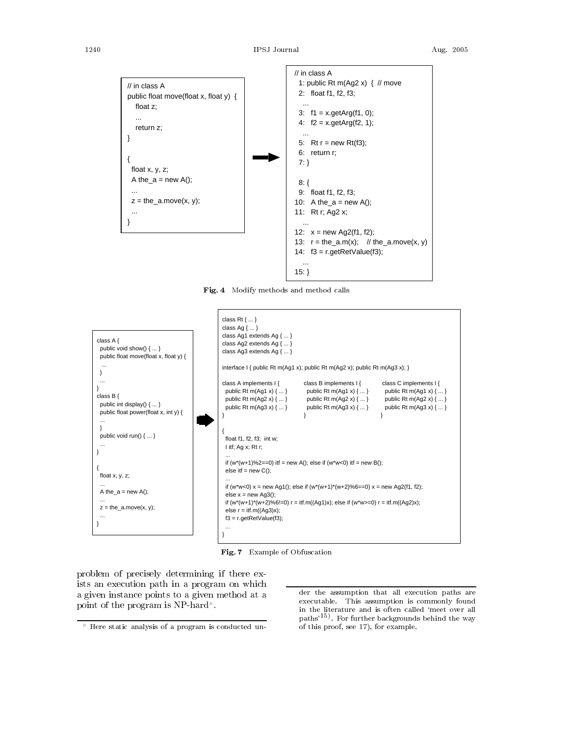

 $\operatorname{Fig. 4}$  Modify methods and method call  $\mathbf{s}$  and  $\mathbf{s}$ 



**Fig. 7** Example of Obfuscation

  -  - - - -  $\mathbf{A}$  $\blacksquare$  . The set of the set of the set of the set of the set of the set of the set of the set of the set of the set of the set of the set of the set of the set of the set of the set of the set of the set of the set of the

executable. This assumption is commonly found der the assumption that all execution paths are in the literature and is often called 'meet over all paths'<sup>19)</sup>. For further backgrounds behind the way of this proof, see 17), for example.

Here static analysis of a program is conducted un-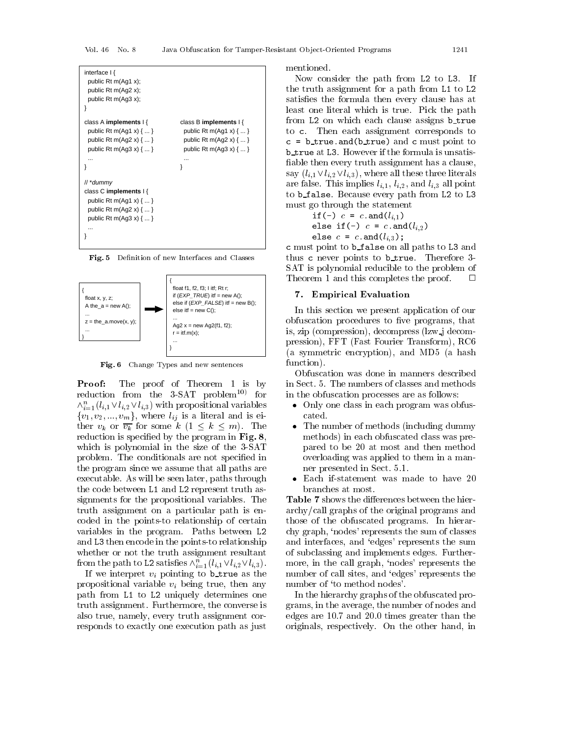

 ${\bf Fig. 5}$  Definition of new Interfaces and Classes



 ${\bf Fig. 6}$  – Change Types and new sentences

**Proof:** The proof of Theorem 1 is by requetion from the 5-SA1 problem  $\sim$  for a m  $\wedge_{i=1}$   $\vee_{i,1}$   $\vee$   $\vee_{i,2}$   $\vee$   $\vee$   $\vee$ <sub>1</sub>,3) with propositional variables  $\qquad \bullet$  O  $\binom{0}{1}, \binom{2}{2}, \cdots, \binom{m}{m}$ , where  $\binom{n}{l}$  is a heatan and is on - - -  4, . \*  $\mathbf{r}$  and  $\mathbf{r}$  is a set to  $\mathbf{r}$  and  $\mathbf{r}$  is  $\mathbf{r}$  . The set of  $\mathbf{r}$ results and the second contract of the second contract of the second contract of the second contract of the second contract of the second contract of the second contract of the second contract of the second contract of the  $\mathbf{r} = \mathbf{r} \cdot \mathbf{r}$ - Los Companys and the company of the company of the company of the company of the company of the company of the company of the company of the company of the company of the company of the company of the company of the comp - - - - - 
 - <sup>3</sup> 3" - - -  $\blacksquare$  . The set of the set of the set of the set of the set of the set of the set of the set of the set of the set of the set of the set of the set of the set of the set of the set of the set of the set of the set of the and the contract of the contract of the contract of the contract of the contract of the contract of the contract of the contract of the contract of the contract of the contract of the contract of the contract of the contra - -- -  - - - - 3" and L3 then encode in the points-to relationship \_\_\_\_\_ and \_\_\_\_\_\_\_\_\_\_\_\_\_\_\_\_\_\_\_\_\_\_ <u>and a set of the set of the set of the set of the set of the set of the set of the set of the set of the set of the set of the set of the set of the set of the set of the set of the set of the set of the set of the set of</u> If om the path to L2 satisfies  $\bigwedge_{i=1}^{n} (i, 1 \vee i, 2 \vee i, 3)$ .

 - - - - - - - - - - - -  3 - 3" ) -  $\mathbf{a}$  . The contract of the contract of the contract of the contract of the contract of the contract of the contract of the contract of the contract of the contract of the contract of the contract of the contract of th - - - - - - 
- -

Now consider the path from L2 to L3. If - - - -  -  3 - 3" and the state of the state of the state of the state of the state of the state of the state of the state of the - The contract of the contract of the contract of the contract of the contract of the contract of the contract of the contract of the contract of the contract of the contract of the contract of the contract of the contract  3" - - \* - - - - - - b\_true at L3. However if the formula is unsatis-\$ - - - - 4- -- -. - - -  $\cdots$  - - - - - - - - - - - - -  $\cdots$  ,  $\iota, \iota$  ,  $\iota, \iota$  ,  $\iota, \iota$  ,  $\iota, \iota$ to **b\_false**. Because every path from L2 to L3  $\mathbf{A}$ 

if (-) 
$$
c = c
$$
 and  $(l_{i,1})$   
else if (-)  $c = c$  and  $(l_{i,2})$ 

 -

c must point to **b\_false** on all paths to L3 and - - - - \*  1 !\* 
 - -   $\Box$ \* , - 
- - 

#### $\cdots$   $\cdots$   $\cdots$   $\cdots$   $\cdots$

 - 
- - -  - The state of the state of the state of the state of the state of the state of the state of the state of the state of the state of the state of the state of the state of the state of the state of the state of the state of is, zip (compression), decompress (lzw\_j decom- . 22\* 42 - 2 \*  . F(8 4 - -. AG7 4 
-.

-  - 
 3

- +
- - !
 7, \*  - 4
 -.  -  $\blacksquare$  . The contract of the contract of the contract of the contract of the contract of the contract of the contract of the contract of the contract of the contract of the contract of the contract of the contract of the -
	- branches at most.

 -  -  -  $\mathbf{A}$  and  $\mathbf{A}$  and  $\mathbf{A}$  and  $\mathbf{A}$  and  $\mathbf{A}$  and  $\mathbf{A}$  and  $\mathbf{A}$  and  $\mathbf{A}$  and  $\mathbf{A}$  and  $\mathbf{A}$  and  $\mathbf{A}$  and  $\mathbf{A}$  and  $\mathbf{A}$  and  $\mathbf{A}$  and  $\mathbf{A}$  and  $\mathbf{A}$  and  $\mathbf{A}$  and .
 - - 
 - -  $\mathcal{A}$  and a set of  $\mathcal{A}$  and a set of  $\mathcal{A}$  and a set of  $\mathcal{A}$  and  $\mathcal{A}$  are the set of  $\mathcal{A}$ case and the contract of the contract of the contract of the contract of the contract of the contract of the contract of the contract of the contract of the contract of the contract of the contract of the contract of the c  $\mathbf{M}$  . The contract of  $\mathbf{M}$  is a set of  $\mathbf{M}$  is a set of  $\mathbf{M}$  is a set of  $\mathbf{M}$  is a set of  $\mathbf{M}$  is a set of  $\mathbf{M}$  is a set of  $\mathbf{M}$  is a set of  $\mathbf{M}$  is a set of  $\mathbf{M}$  is a set of  $\mathbf{$  $\mathbf{C}$  and  $\mathbf{C}$  . The contract of the contract of the contract of the contract of the contract of the contract of the contract of the contract of the contract of the contract of the contract of the contract of the c  - C< - -

 
 ,H9 0HH - - - - #- 
- + - -  $\mathbf{r}$  and  $\mathbf{r}$  and  $\mathbf{r}$  and  $\mathbf{r}$  are the set of the set of the set of the set of the set of the set of the set of the set of the set of the set of the set of the set of the set of the set of the set of the  $\mathbf{A}$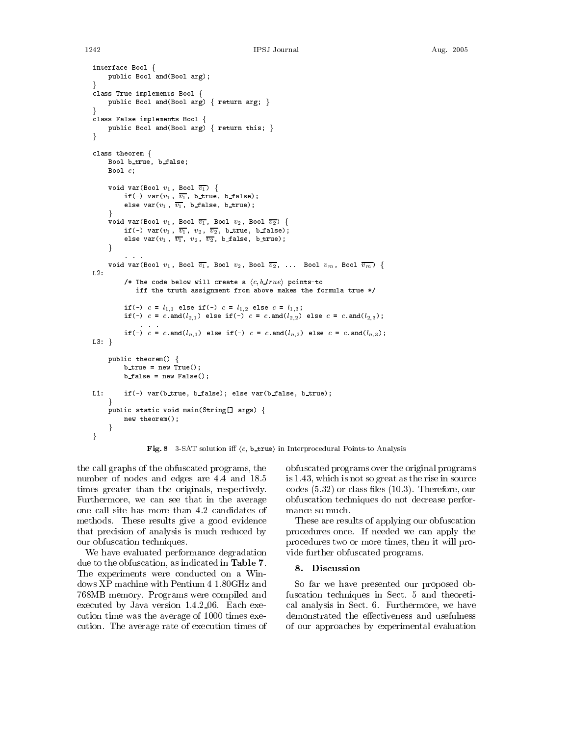```
interface Bool \{public Bool and (Bool arg);
class True implements Bool \{public Bool and (Bool arg) { return arg; }
class False implements Bool {
     public Bool and (Bool arg) { return this; }
\mathcal{E}class theorem {
     Bool b_true, b_false;
     Bool c:
     void var (Bool v_1, Bool \overline{v_1}) {
          if(-) var(v_1, \overline{v_1}), b_true, b_false);
          else var(v_1, \overline{v_1}, b_{1}) betalse, betrue);
     \mathcal{E}void var (Bool v_1, Bool \overline{v_1}, Bool v_2, Bool \overline{v_2}) {
          if(-) var(v_1, \overline{v_1}, v_2, \overline{v_2}, b_true, b_false);
          else var(v_1, \overline{v_1}, v_2, \overline{v_2}, b false, b_true);
     void var (Bool v_1, Bool \overline{v_1}, Bool v_2, Bool \overline{v_2}, ... Bool v_m, Bool \overline{v_m}) {
L2/* The code below will create a \langle c, b\_true \rangle points-to
              iff the truth assignment from above makes the formula true */
          if(-) c = l_{1,1} else if(-) c = l_{1,2} else c = l_{1,3};
          if(-) c = c and (l_{2,1}) else if(-) c = c and (l_{2,2}) else c = c and (l_{2,3});
          if(-) c = c.and(l_{n,1}) else if(-) c = c.and(l_{n,2}) else c = c.and(l_{n,3});
L3:}
     public theorem() {
          b_true = new True();
          b-false = new False():
L1:
          if(-) var(b_true, b_false); else var(b_false, b_true);
     public static void main(String[] args) {
          new theorem();
}
```
Fig. 8 3-SAT solution iff  $\langle c, b$ \_true) in Interprocedural Points-to Analysis

the call graphs of the obfuscated programs, the number of nodes and edges are 4.4 and 18.5 times greater than the originals, respectively. Furthermore, we can see that in the average one call site has more than 4.2 candidates of methods. These results give a good evidence that precision of analysis is much reduced by our obfuscation techniques.

1242

We have evaluated performance degradation due to the obfuscation, as indicated in Table 7. The experiments were conducted on a Windows XP machine with Pentium 4 1.80GHz and 768MB memory. Programs were compiled and executed by Java version 1.4.2.06. Each execution time was the average of 1000 times execution. The average rate of execution times of

obfuscated programs over the original programs is 1.43, which is not so great as the rise in source codes  $(5.32)$  or class files  $(10.3)$ . Therefore, our obfuscation techniques do not decrease performance so much.

These are results of applying our obfuscation procedures once. If needed we can apply the procedures two or more times, then it will provide further obfuscated programs.

#### 8. Discussion

So far we have presented our proposed obfuscation techniques in Sect. 5 and theoretical analysis in Sect. 6. Furthermore, we have demonstrated the effectiveness and usefulness of our approaches by experimental evaluation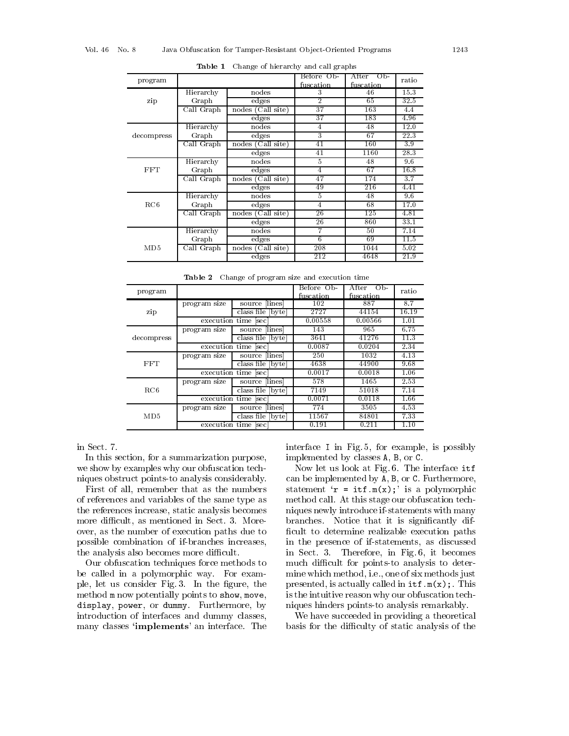| program    |            |                      | Before Ob-     | After<br>Op- | ratio |
|------------|------------|----------------------|----------------|--------------|-------|
|            |            |                      | fuscation      | fuscation    |       |
|            | Hierarchy  | nodes                | 3              | 46           | 15.3  |
| zip        | Graph      | edges                | $\overline{2}$ | 65           | 32.5  |
|            | Call Graph | nodes (Call site)    | 37             | 163          | 4.4   |
|            |            | edges                | 37             | 183          | 4.96  |
|            | Hierarchy  | nodes                | $\overline{4}$ | 48           | 12.0  |
| decompress | Graph      | edges                | 3              | 67           | 22.3  |
|            | Call Graph | Call site)<br>nodes  | 41             | 160          | 3.9   |
|            |            | $_{\rm edges}$       | 41             | 1160         | 28.3  |
|            | Hierarchy  | nodes                | 5              | 48           | 9.6   |
| <b>FFT</b> | Graph      | edges                | 4              | 67           | 16.8  |
|            | Call Graph | Call site)<br>nodes  | 47             | 174          | 3.7   |
|            |            | edges                | 49             | 216          | 4.41  |
|            | Hierarchy  | nodes                | 5              | 48           | 9.6   |
| RC6        | Graph      | edges                | 4              | 68           | 17.0  |
|            | Call Graph | (Call site)<br>nodes | 26             | 125          | 4.81  |
|            |            | $_{\rm edges}$       | 26             | 860          | 33.1  |
|            | Hierarchy  | nodes                | 7              | 50           | 7.14  |
|            | Graph      | edges                | 6              | 69           | 11.5  |
| MD5        | Call Graph | (Call site)<br>nodes | 208            | 1044         | 5.02  |
|            |            | edges                | 212            | 4648         | 21.9  |

Table 1 Change of hierarchy and call graphs

Table 2 Change of program size and execution time

| program    |                      |                      | Before Ob-<br>fuscation | After<br>O <sub>b</sub><br>fuscation | ratio |
|------------|----------------------|----------------------|-------------------------|--------------------------------------|-------|
| zip        | program size         | source [lines]       | 102                     | 887                                  | 8.7   |
|            |                      | class file   byte    | 2727                    | 44154                                | 16.19 |
|            | execution time [sec] |                      | 0.00558                 | 0.00566                              | 1.01  |
| decompress | program size         | source [lines]       | 143                     | 965                                  | 6.75  |
|            |                      | class file [byte]    | 3641                    | 41276                                | 11.3  |
|            |                      | execution time  sec  | 0.0087                  | 0.0204                               | 2.34  |
| FFT        | program size         | source [lines]       | 250                     | 1032                                 | 4.13  |
|            |                      | class file [byte]    | 4638                    | 44900                                | 9.68  |
|            |                      | execution time sec   | 0.0017                  | 0.0018                               | 1.06  |
| RC6        | program size         | source [lines]       | 578                     | 1465                                 | 2.53  |
|            |                      | class file  <br>byte | 7149                    | 51018                                | 7.14  |
|            | execution time [sec] |                      | 0.0071                  | 0.0118                               | 1.66  |
| MD5        | program size         | source lines         | 774                     | 3505                                 | 4.53  |
|            |                      | class file   byte    | 11567                   | 84801                                | 7.33  |
|            | execution time [sec] |                      | 0.191                   | 0.211                                | 1.10  |

in Sect. 7.

In this section, for a summarization purpose, we show by examples why our obfuscation techniques obstruct points-to analysis considerably.

First of all, remember that as the numbers of references and variables of the same type as the references increase, static analysis becomes more difficult, as mentioned in Sect. 3. Moreover, as the number of execution paths due to possible combination of if-branches increases, the analysis also becomes more difficult.

Our obfuscation techniques force methods to be called in a polymorphic way. For example, let us consider Fig. 3. In the figure, the method m now potentially points to show, move, display, power, or dummy. Furthermore, by introduction of interfaces and dummy classes, many classes 'implements' an interface. The interface I in Fig. 5, for example, is possibly implemented by classes A, B, or C.

Now let us look at Fig. 6. The interface itf can be implemented by A, B, or C. Furthermore, statement ' $\mathbf{r} = \text{itr.m(x)}$ ; is a polymorphic method call. At this stage our obfuscation techniques newly introduce if-statements with many branches. Notice that it is significantly difficult to determine realizable execution paths in the presence of if-statements, as discussed in Sect. 3. Therefore, in Fig. 6, it becomes much difficult for points-to analysis to determine which method, i.e., one of six methods just presented, is actually called in  $\text{it.f.m}(x)$ ; This is the intuitive reason why our obfuscation techniques hinders points-to analysis remarkably.

We have succeeded in providing a theoretical basis for the difficulty of static analysis of the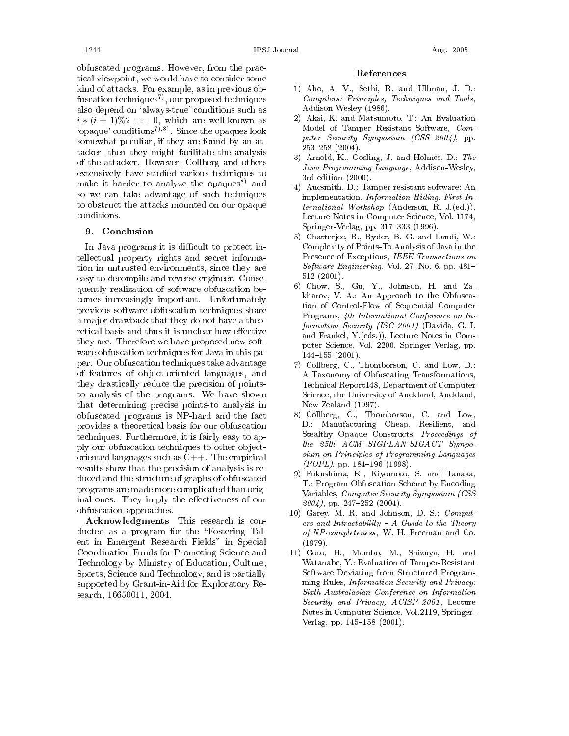obfuscated programs. However, from the practical viewpoint, we would have to consider some kind of attacks. For example, as in previous obfuscation techniques<sup>7</sup>, our proposed techniques also depend on 'always-true' conditions such as  $i*(i+1)\%2 == 0$ , which are well-known as 'opaque' conditions<sup>7</sup>),<sup>8</sup>. Since the opaques look somewhat peculiar, if they are found by an attacker, then they might facilitate the analysis of the attacker. However, Collberg and others extensively have studied various techniques to make it harder to analyze the opaques<sup>8)</sup> and so we can take advantage of such techniques to obstruct the attacks mounted on our opaque conditions.

#### 9. Conclusion

In Java programs it is difficult to protect intellectual property rights and secret information in untrusted environments, since they are easy to decompile and reverse engineer. Consequently realization of software obfuscation be comes increasingly important. Unfortunately previous software obfuscation techniques share a major drawback that they do not have a theoretical basis and thus it is unclear how effective they are. Therefore we have proposed new software obfuscation techniques for Java in this paper. Our obfuscation techniques take advantage of features of object-oriented languages, and they drastically reduce the precision of pointsto analysis of the programs. We have shown that determining precise points-to analysis in obfuscated programs is NP-hard and the fact provides a theoretical basis for our obfuscation techniques. Furthermore, it is fairly easy to apply our obfuscation techniques to other objectoriented languages such as  $C_{++}$ . The empirical results show that the precision of analysis is reduced and the structure of graphs of obfuscated programs are made more complicated than original ones. They imply the effectiveness of our obfuscation approaches.

Acknowledgments This research is conducted as a program for the "Fostering Talent in Emergent Research Fields" in Special Coordination Funds for Promoting Science and Technology by Ministry of Education, Culture, Sports, Science and Technology, and is partially supported by Grant-in-Aid for Exploratory Research, 16650011, 2004.

#### References

- 1) Aho, A. V., Sethi, R. and Ullman, J. D.: Compilers: Principles, Techniques and Tools, Addison-Wesley (1986).
- 2) Akai, K. and Matsumoto, T.: An Evaluation Model of Tamper Resistant Software, Computer Security Symposium (CSS 2004), pp.  $253 - 258$  (2004).
- 3) Arnold, K., Gosling, J. and Holmes, D.: The Java Programming Language, Addison-Wesley, 3rd edition (2000).
- 4) Aucsmith, D.: Tamper resistant software: An implementation, Information Hiding: First International Workshop (Anderson, R. J.(ed.)), Lecture Notes in Computer Science, Vol. 1174, Springer-Verlag, pp. 317-333 (1996).
- 5) Chatterjee, R., Ryder, B. G. and Landi, W. Complexity of Points-To Analysis of Java in the Presence of Exceptions, IEEE Transactions on *Software Engineering*, Vol. 27, No. 6, pp. 481- $512(2001).$
- 6) Chow, S., Gu, Y., Johnson, H. and Zakharov, V. A.: An Approach to the Obfuscation of Control-Flow of Sequential Computer Programs, 4th International Conference on Information Security (ISC 2001) (Davida, G. I. and Frankel, Y.(eds.)), Lecture Notes in Computer Science, Vol. 2200, Springer-Verlag, pp.  $144 - 155$   $(2001)$ .
- 7) Collberg, C., Thomborson, C. and Low, D.: A Taxonomy of Obfuscating Transformations, Technical Report 148, Department of Computer Science, the University of Auckland, Auckland, New Zealand (1997).
- 8) Collberg, C., Thomborson, C. and Low, D.: Manufacturing Cheap, Resilient, and Stealthy Opaque Constructs, Proceedings of the 25th ACM SIGPLAN-SIGACT Symposium on Principles of Programming Languages  $(POPL)$ , pp. 184-196 (1998).
- 9) Fukushima, K., Kiyomoto, S. and Tanaka, T.: Program Obfuscation Scheme by Encoding Variables, Computer Security Symposium (CSS  $2004$ , pp. 247-252 (2004).
- 10) Garey, M. R. and Johnson, D. S.: Computers and Intractability  $- A$  Guide to the Theory of  $\emph{NP-completeness}$ , W. H. Freeman and Co.  $(1979).$
- 11) Goto, H., Mambo, M., Shizuya, H. and Watanabe, Y.: Evaluation of Tamper-Resistant Software Deviating from Structured Programming Rules, Information Security and Privacy: Sixth Australasian Conference on Information Security and Privacy, ACISP 2001, Lecture Notes in Computer Science, Vol.2119, Springer-Verlag, pp. 145-158 (2001).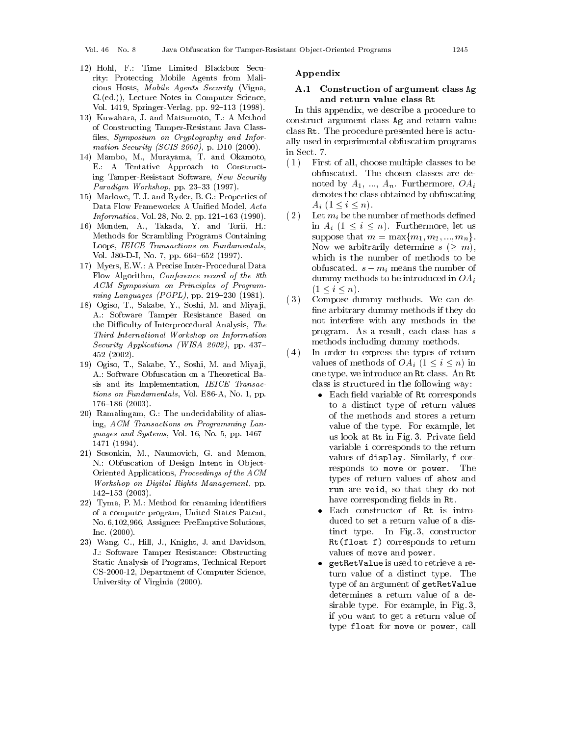Vol  $46$  No  $8$ 

- 12) Hohl, F.: Time Limited Blackbox Security: Protecting Mobile Agents from Malicious Hosts, Mobile Agents Security (Vigna, G.(ed.)), Lecture Notes in Computer Science, Vol. 1419, Springer-Verlag, pp. 92-113 (1998).
- 13) Kuwahara, J. and Matsumoto, T.: A Method of Constructing Tamper-Resistant Java Classfiles, Symposium on Cryptography and Information Security (SCIS 2000), p. D10 (2000).
- 14) Mambo, M., Murayama, T. and Okamoto, E.: A Tentative Approach to Constructing Tamper-Resistant Software, New Security Paradigm Workshop, pp. 23-33 (1997).
- 15) Marlowe, T. J. and Ryder, B. G.: Properties of Data Flow Frameworks: A Unified Model, Acta Informatica, Vol. 28, No. 2, pp. 121-163 (1990).
- 16) Monden, A., Takada, Y. and Torii, H.: Methods for Scrambling Programs Containing Loops, IEICE Transactions on Fundamentals, Vol. J80-D-I, No. 7, pp. 664-652 (1997).
- 17) Myers, E.W.: A Precise Inter-Procedural Data Flow Algorithm, Conference record of the 8th ACM Symposium on Principles of Programming Languages (POPL), pp. 219-230 (1981).
- 18) Ogiso, T., Sakabe, Y., Soshi, M. and Miyaji, A.: Software Tamper Resistance Based on the Difficulty of Interprocedural Analysis, The Third International Workshop on Information Security Applications (WISA 2002), pp. 437- $452(2002)$ .
- 19) Ogiso, T., Sakabe, Y., Soshi, M. and Miyaji, A.: Software Obfuscation on a Theoretical Basis and its Implementation, IEICE Transactions on Fundamentals, Vol. E86-A, No. 1, pp.  $176 - 186$  (2003).
- 20) Ramalingam, G.: The undecidability of aliasing, ACM Transactions on Programming Languages and Systems, Vol. 16, No. 5, pp. 1467-1471 (1994).
- 21) Sosonkin, M., Naumovich, G. and Memon, N.: Obfuscation of Design Intent in Object-Oriented Applications, Proceedings of the ACM Workshop on Digital Rights Management, pp.  $142 - 153$  (2003).
- 22) Tyma, P. M.: Method for renaming identifiers of a computer program, United States Patent, No. 6,102,966, Assignee: PreEmptive Solutions, Inc.  $(2000)$ .
- 23) Wang, C., Hill, J., Knight, J. and Davidson, J.: Software Tamper Resistance: Obstructing Static Analysis of Programs, Technical Report CS-2000-12, Department of Computer Science, University of Virginia (2000).

#### Appendix

### A.1 Construction of argument class Ag and return value class Rt

In this appendix, we describe a procedure to construct argument class Ag and return value class Rt. The procedure presented here is actually used in experimental obfuscation programs in Sect. 7.

- $(1)$ First of all, choose multiple classes to be obfuscated. The chosen classes are denoted by  $A_1, ..., A_n$ . Furthermore,  $OA_i$ denotes the class obtained by obfuscating  $A_i$   $(1 \leq i \leq n)$ .
- $(2)$ Let  $m_i$  be the number of methods defined in  $A_i$   $(1 \leq i \leq n)$ . Furthermore, let us suppose that  $m = \max\{m_1, m_2, ..., m_n\}.$ Now we arbitrarily determine  $s > m$ , which is the number of methods to be obfuscated.  $s - m_i$  means the number of dummy methods to be introduced in  $OA_i$  $(1 \le i \le n).$
- $(3)$ Compose dummy methods. We can define arbitrary dummy methods if they do not interfere with any methods in the program. As a result, each class has s methods including dummy methods.
- $(4)$ In order to express the types of return values of methods of  $OA_i$   $(1 \leq i \leq n)$  in one type, we introduce an Rt class. An Rt class is structured in the following way:
	- Each field variable of Rt corresponds to a distinct type of return values of the methods and stores a return value of the type. For example, let us look at Rt in Fig. 3. Private field variable *i* corresponds to the return values of display. Similarly, f corresponds to move or power. The types of return values of show and run are void, so that they do not have corresponding fields in Rt.
	- Each constructor of Rt is introduced to set a return value of a distinct type. In Fig. 3, constructor Rt(float f) corresponds to return values of move and power.
	- getRetValue is used to retrieve a re- $\bullet$ turn value of a distinct type. The type of an argument of getRetValue determines a return value of a desirable type. For example, in Fig. 3, if you want to get a return value of type float for move or power, call